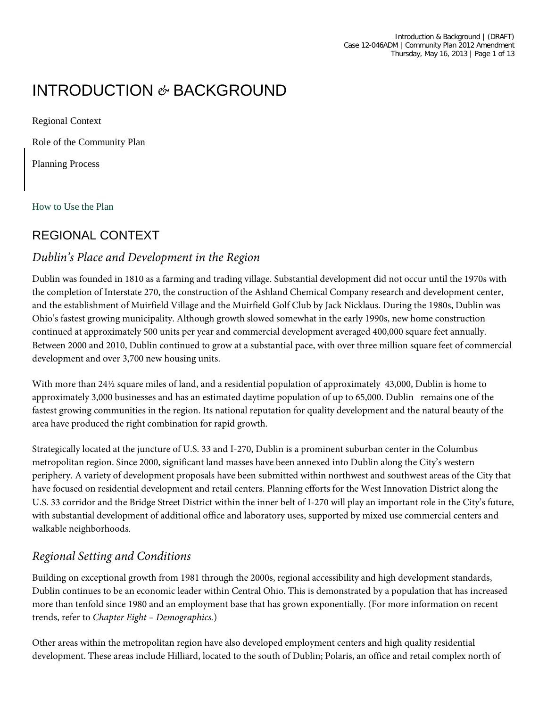# INTRODUCTION *&* BACKGROUND

Regional Context

Role of the Community Plan

Planning Process

How to Use the Plan

# REGIONAL CONTEXT

#### *Dublin's Place and Development in the Region*

Dublin was founded in 1810 as a farming and trading village. Substantial development did not occur until the 1970s with the completion of Interstate 270, the construction of the Ashland Chemical Company research and development center, and the establishment of Muirfield Village and the Muirfield Golf Club by Jack Nicklaus. During the 1980s, Dublin was Ohio's fastest growing municipality. Although growth slowed somewhat in the early 1990s, new home construction continued at approximately 500 units per year and commercial development averaged 400,000 square feet annually. Between 2000 and 2010, Dublin continued to grow at a substantial pace, with over three million square feet of commercial development and over 3,700 new housing units.

With more than 24½ square miles of land, and a residential population of approximately 43,000, Dublin is home to approximately 3,000 businesses and has an estimated daytime population of up to 65,000. Dublin remains one of the fastest growing communities in the region. Its national reputation for quality development and the natural beauty of the area have produced the right combination for rapid growth.

Strategically located at the juncture of U.S. 33 and I-270, Dublin is a prominent suburban center in the Columbus metropolitan region. Since 2000, significant land masses have been annexed into Dublin along the City's western periphery. A variety of development proposals have been submitted within northwest and southwest areas of the City that have focused on residential development and retail centers. Planning efforts for the West Innovation District along the U.S. 33 corridor and the Bridge Street District within the inner belt of I-270 will play an important role in the City's future, with substantial development of additional office and laboratory uses, supported by mixed use commercial centers and walkable neighborhoods.

## *Regional Setting and Conditions*

Building on exceptional growth from 1981 through the 2000s, regional accessibility and high development standards, Dublin continues to be an economic leader within Central Ohio. This is demonstrated by a population that has increased more than tenfold since 1980 and an employment base that has grown exponentially. (For more information on recent trends, refer to *Chapter Eight – Demographics.*)

Other areas within the metropolitan region have also developed employment centers and high quality residential development. These areas include Hilliard, located to the south of Dublin; Polaris, an office and retail complex north of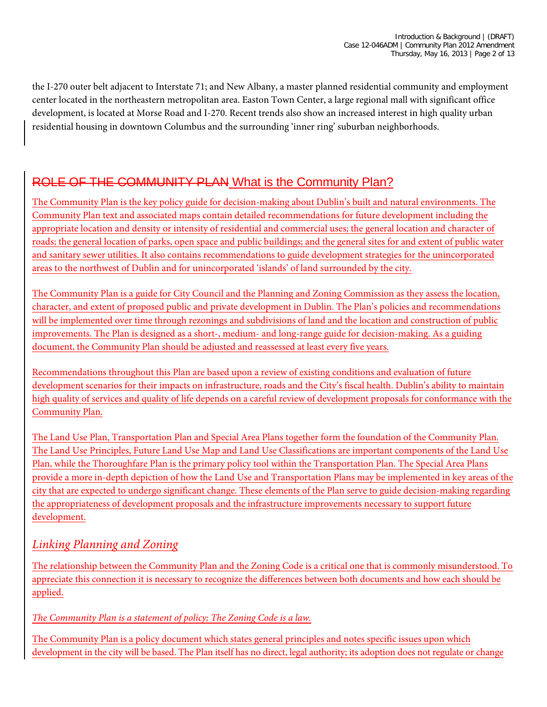the I-270 outer belt adjacent to Interstate 71; and New Albany, a master planned residential community and employment center located in the northeastern metropolitan area. Easton Town Center, a large regional mall with significant office development, is located at Morse Road and I-270. Recent trends also show an increased interest in high quality urban residential housing in downtown Columbus and the surrounding 'inner ring' suburban neighborhoods.

# ROLE OF THE COMMUNITY PLAN What is the Community Plan?

The Community Plan is the key policy guide for decision-making about Dublin's built and natural environments. The Community Plan text and associated maps contain detailed recommendations for future development including the appropriate location and density or intensity of residential and commercial uses; the general location and character of roads; the general location of parks, open space and public buildings; and the general sites for and extent of public water and sanitary sewer utilities. It also contains recommendations to guide development strategies for the unincorporated areas to the northwest of Dublin and for unincorporated 'islands' of land surrounded by the city.

The Community Plan is a guide for City Council and the Planning and Zoning Commission as they assess the location, character, and extent of proposed public and private development in Dublin. The Plan's policies and recommendations will be implemented over time through rezonings and subdivisions of land and the location and construction of public improvements. The Plan is designed as a short-, medium- and long-range guide for decision-making. As a guiding document, the Community Plan should be adjusted and reassessed at least every five years.

Recommendations throughout this Plan are based upon a review of existing conditions and evaluation of future development scenarios for their impacts on infrastructure, roads and the City's fiscal health. Dublin's ability to maintain high quality of services and quality of life depends on a careful review of development proposals for conformance with the Community Plan.

The Land Use Plan, Transportation Plan and Special Area Plans together form the foundation of the Community Plan. The Land Use Principles, Future Land Use Map and Land Use Classifications are important components of the Land Use Plan, while the Thoroughfare Plan is the primary policy tool within the Transportation Plan. The Special Area Plans provide a more in-depth depiction of how the Land Use and Transportation Plans may be implemented in key areas of the city that are expected to undergo significant change. These elements of the Plan serve to guide decision-making regarding the appropriateness of development proposals and the infrastructure improvements necessary to support future development.

#### *Linking Planning and Zoning*

The relationship between the Community Plan and the Zoning Code is a critical one that is commonly misunderstood. To appreciate this connection it is necessary to recognize the differences between both documents and how each should be applied.

*The Community Plan is a statement of policy; The Zoning Code is a law.*

The Community Plan is a policy document which states general principles and notes specific issues upon which development in the city will be based. The Plan itself has no direct, legal authority; its adoption does not regulate or change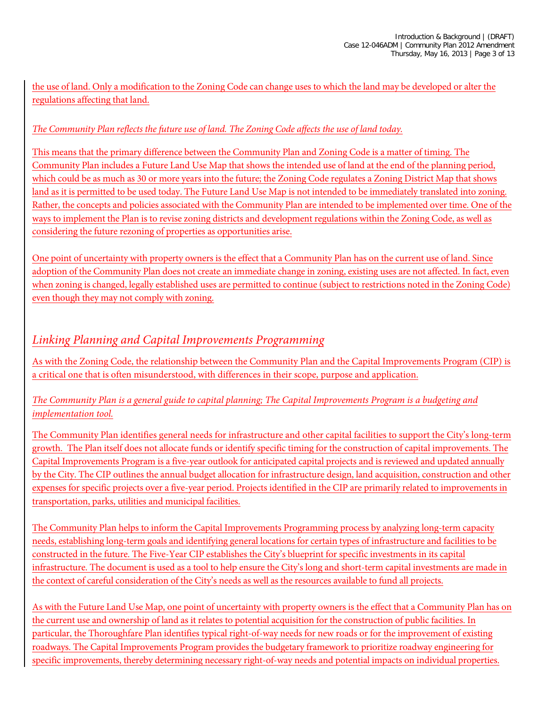the use of land. Only a modification to the Zoning Code can change uses to which the land may be developed or alter the regulations affecting that land.

#### *The Community Plan reflects the future use of land. The Zoning Code affects the use of land today.*

This means that the primary difference between the Community Plan and Zoning Code is a matter of timing. The Community Plan includes a Future Land Use Map that shows the intended use of land at the end of the planning period, which could be as much as 30 or more years into the future; the Zoning Code regulates a Zoning District Map that shows land as it is permitted to be used today. The Future Land Use Map is not intended to be immediately translated into zoning. Rather, the concepts and policies associated with the Community Plan are intended to be implemented over time. One of the ways to implement the Plan is to revise zoning districts and development regulations within the Zoning Code, as well as considering the future rezoning of properties as opportunities arise.

One point of uncertainty with property owners is the effect that a Community Plan has on the current use of land. Since adoption of the Community Plan does not create an immediate change in zoning, existing uses are not affected. In fact, even when zoning is changed, legally established uses are permitted to continue (subject to restrictions noted in the Zoning Code) even though they may not comply with zoning.

### *Linking Planning and Capital Improvements Programming*

As with the Zoning Code, the relationship between the Community Plan and the Capital Improvements Program (CIP) is a critical one that is often misunderstood, with differences in their scope, purpose and application.

#### *The Community Plan is a general guide to capital planning; The Capital Improvements Program is a budgeting and implementation tool.*

The Community Plan identifies general needs for infrastructure and other capital facilities to support the City's long-term growth. The Plan itself does not allocate funds or identify specific timing for the construction of capital improvements. The Capital Improvements Program is a five-year outlook for anticipated capital projects and is reviewed and updated annually by the City. The CIP outlines the annual budget allocation for infrastructure design, land acquisition, construction and other expenses for specific projects over a five-year period. Projects identified in the CIP are primarily related to improvements in transportation, parks, utilities and municipal facilities.

The Community Plan helps to inform the Capital Improvements Programming process by analyzing long-term capacity needs, establishing long-term goals and identifying general locations for certain types of infrastructure and facilities to be constructed in the future. The Five-Year CIP establishes the City's blueprint for specific investments in its capital infrastructure. The document is used as a tool to help ensure the City's long and short-term capital investments are made in the context of careful consideration of the City's needs as well as the resources available to fund all projects.

As with the Future Land Use Map, one point of uncertainty with property owners is the effect that a Community Plan has on the current use and ownership of land as it relates to potential acquisition for the construction of public facilities. In particular, the Thoroughfare Plan identifies typical right-of-way needs for new roads or for the improvement of existing roadways. The Capital Improvements Program provides the budgetary framework to prioritize roadway engineering for specific improvements, thereby determining necessary right-of-way needs and potential impacts on individual properties.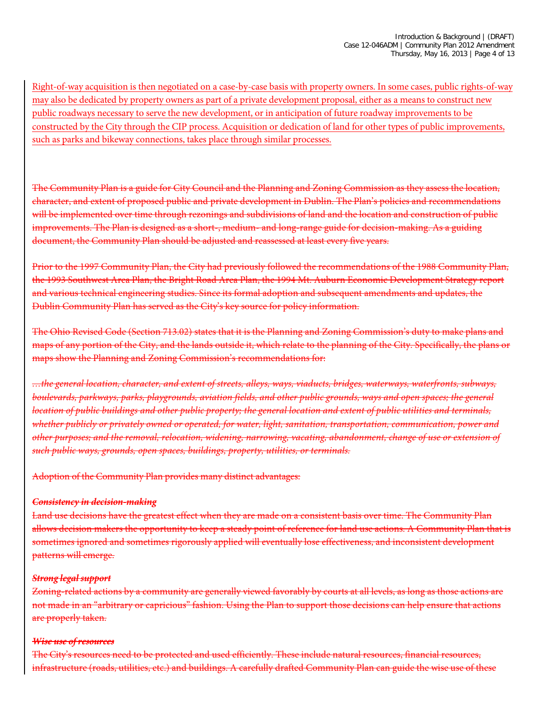Right-of-way acquisition is then negotiated on a case-by-case basis with property owners. In some cases, public rights-of-way may also be dedicated by property owners as part of a private development proposal, either as a means to construct new public roadways necessary to serve the new development, or in anticipation of future roadway improvements to be constructed by the City through the CIP process. Acquisition or dedication of land for other types of public improvements, such as parks and bikeway connections, takes place through similar processes.

The Community Plan is a guide for City Council and the Planning and Zoning Commission as they assess the location, character, and extent of proposed public and private development in Dublin. The Plan's policies and recommendations will be implemented over time through rezonings and subdivisions of land and the location and construction of public improvements. The Plan is designed as a short-, medium- and long-range guide for decision-making. As a guiding document, the Community Plan should be adjusted and reassessed at least every five years.

Prior to the 1997 Community Plan, the City had previously followed the recommendations of the 1988 Community Plan, the 1993 Southwest Area Plan, the Bright Road Area Plan, the 1994 Mt. Auburn Economic Development Strategy report and various technical engineering studies. Since its formal adoption and subsequent amendments and updates, the Dublin Community Plan has served as the City's key source for policy information.

The Ohio Revised Code (Section 713.02) states that it is the Planning and Zoning Commission's duty to make plans and maps of any portion of the City, and the lands outside it, which relate to the planning of the City. Specifically, the plans or maps show the Planning and Zoning Commission's recommendations for:

*…the general location, character, and extent of streets, alleys, ways, viaducts, bridges, waterways, waterfronts, subways, boulevards, parkways, parks, playgrounds, aviation fields, and other public grounds, ways and open spaces; the general location of public buildings and other public property; the general location and extent of public utilities and terminals, whether publicly or privately owned or operated, for water, light, sanitation, transportation, communication, power and other purposes; and the removal, relocation, widening, narrowing, vacating, abandonment, change of use or extension of such public ways, grounds, open spaces, buildings, property, utilities, or terminals.*

Adoption of the Community Plan provides many distinct advantages:

#### *Consistency in decision-making*

Land use decisions have the greatest effect when they are made on a consistent basis over time. The Community Plan allows decision makers the opportunity to keep a steady point of reference for land use actions. A Community Plan that is sometimes ignored and sometimes rigorously applied will eventually lose effectiveness, and inconsistent development patterns will emerge.

#### *Strong legal support*

Zoning-related actions by a community are generally viewed favorably by courts at all levels, as long as those actions are not made in an "arbitrary or capricious" fashion. Using the Plan to support those decisions can help ensure that actions are properly taken.

#### *Wise use of resources*

The City's resources need to be protected and used efficiently. These include natural resources, financial resources, infrastructure (roads, utilities, etc.) and buildings. A carefully drafted Community Plan can guide the wise use of these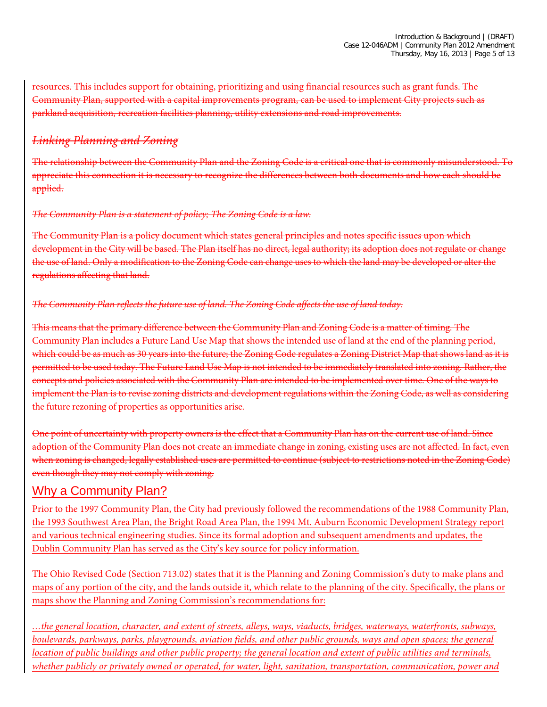resources. This includes support for obtaining, prioritizing and using financial resources such as grant funds. The Community Plan, supported with a capital improvements program, can be used to implement City projects such as parkland acquisition, recreation facilities planning, utility extensions and road improvements.

#### *Linking Planning and Zoning*

The relationship between the Community Plan and the Zoning Code is a critical one that is commonly misunderstood. To appreciate this connection it is necessary to recognize the differences between both documents and how each should be applied.

#### *The Community Plan is a statement of policy; The Zoning Code is a law.*

The Community Plan is a policy document which states general principles and notes specific issues upon which development in the City will be based. The Plan itself has no direct, legal authority; its adoption does not regulate or change the use of land. Only a modification to the Zoning Code can change uses to which the land may be developed or alter the regulations affecting that land.

#### *The Community Plan reflects the future use of land. The Zoning Code affects the use of land today.*

This means that the primary difference between the Community Plan and Zoning Code is a matter of timing. The Community Plan includes a Future Land Use Map that shows the intended use of land at the end of the planning period, which could be as much as 30 years into the future; the Zoning Code regulates a Zoning District Map that shows land as it is permitted to be used today. The Future Land Use Map is not intended to be immediately translated into zoning. Rather, the concepts and policies associated with the Community Plan are intended to be implemented over time. One of the ways to implement the Plan is to revise zoning districts and development regulations within the Zoning Code, as well as considering the future rezoning of properties as opportunities arise.

One point of uncertainty with property owners is the effect that a Community Plan has on the current use of land. Since adoption of the Community Plan does not create an immediate change in zoning, existing uses are not affected. In fact, even when zoning is changed, legally established uses are permitted to continue (subject to restrictions noted in the Zoning Code) even though they may not comply with zoning.

### Why a Community Plan?

Prior to the 1997 Community Plan, the City had previously followed the recommendations of the 1988 Community Plan, the 1993 Southwest Area Plan, the Bright Road Area Plan, the 1994 Mt. Auburn Economic Development Strategy report and various technical engineering studies. Since its formal adoption and subsequent amendments and updates, the Dublin Community Plan has served as the City's key source for policy information.

The Ohio Revised Code (Section 713.02) states that it is the Planning and Zoning Commission's duty to make plans and maps of any portion of the city, and the lands outside it, which relate to the planning of the city. Specifically, the plans or maps show the Planning and Zoning Commission's recommendations for:

*…the general location, character, and extent of streets, alleys, ways, viaducts, bridges, waterways, waterfronts, subways, boulevards, parkways, parks, playgrounds, aviation fields, and other public grounds, ways and open spaces; the general location of public buildings and other public property; the general location and extent of public utilities and terminals, whether publicly or privately owned or operated, for water, light, sanitation, transportation, communication, power and*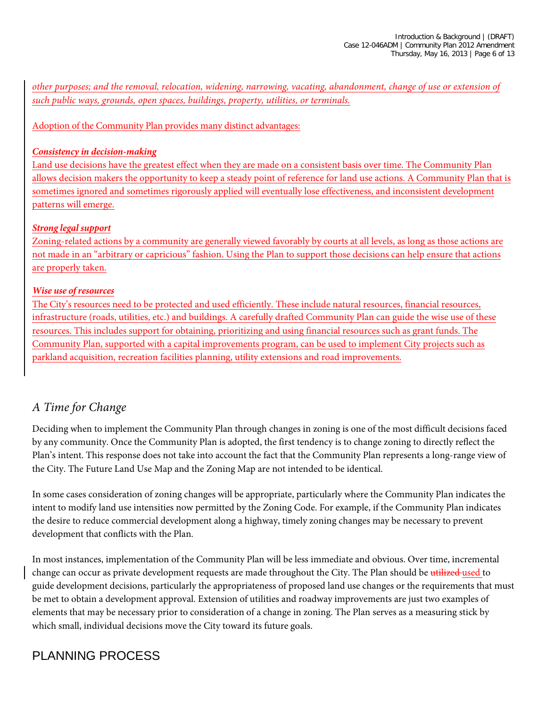*other purposes; and the removal, relocation, widening, narrowing, vacating, abandonment, change of use or extension of such public ways, grounds, open spaces, buildings, property, utilities, or terminals.*

Adoption of the Community Plan provides many distinct advantages:

#### *Consistency in decision-making*

Land use decisions have the greatest effect when they are made on a consistent basis over time. The Community Plan allows decision makers the opportunity to keep a steady point of reference for land use actions. A Community Plan that is sometimes ignored and sometimes rigorously applied will eventually lose effectiveness, and inconsistent development patterns will emerge.

#### *Strong legal support*

Zoning-related actions by a community are generally viewed favorably by courts at all levels, as long as those actions are not made in an "arbitrary or capricious" fashion. Using the Plan to support those decisions can help ensure that actions are properly taken.

#### *Wise use of resources*

The City's resources need to be protected and used efficiently. These include natural resources, financial resources, infrastructure (roads, utilities, etc.) and buildings. A carefully drafted Community Plan can guide the wise use of these resources. This includes support for obtaining, prioritizing and using financial resources such as grant funds. The Community Plan, supported with a capital improvements program, can be used to implement City projects such as parkland acquisition, recreation facilities planning, utility extensions and road improvements.

### *A Time for Change*

Deciding when to implement the Community Plan through changes in zoning is one of the most difficult decisions faced by any community. Once the Community Plan is adopted, the first tendency is to change zoning to directly reflect the Plan's intent. This response does not take into account the fact that the Community Plan represents a long-range view of the City. The Future Land Use Map and the Zoning Map are not intended to be identical.

In some cases consideration of zoning changes will be appropriate, particularly where the Community Plan indicates the intent to modify land use intensities now permitted by the Zoning Code. For example, if the Community Plan indicates the desire to reduce commercial development along a highway, timely zoning changes may be necessary to prevent development that conflicts with the Plan.

In most instances, implementation of the Community Plan will be less immediate and obvious. Over time, incremental change can occur as private development requests are made throughout the City. The Plan should be utilized used to guide development decisions, particularly the appropriateness of proposed land use changes or the requirements that must be met to obtain a development approval. Extension of utilities and roadway improvements are just two examples of elements that may be necessary prior to consideration of a change in zoning. The Plan serves as a measuring stick by which small, individual decisions move the City toward its future goals.

# PLANNING PROCESS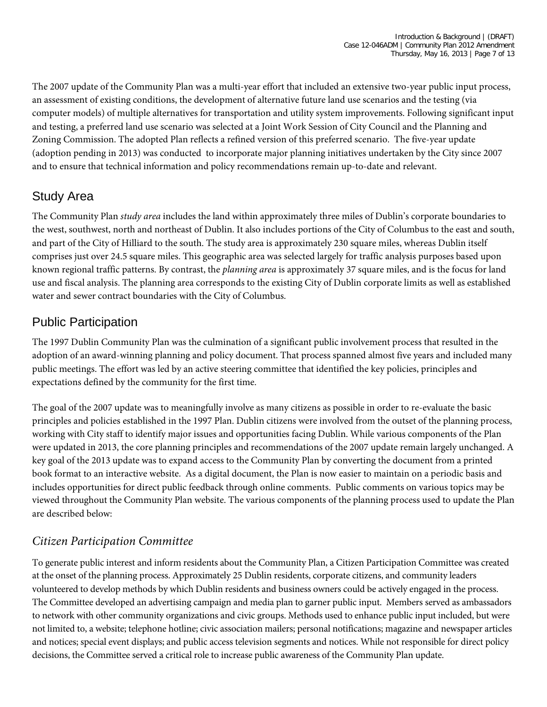The 2007 update of the Community Plan was a multi-year effort that included an extensive two-year public input process, an assessment of existing conditions, the development of alternative future land use scenarios and the testing (via computer models) of multiple alternatives for transportation and utility system improvements. Following significant input and testing, a preferred land use scenario was selected at a Joint Work Session of City Council and the Planning and Zoning Commission. The adopted Plan reflects a refined version of this preferred scenario. The five-year update (adoption pending in 2013) was conducted to incorporate major planning initiatives undertaken by the City since 2007 and to ensure that technical information and policy recommendations remain up-to-date and relevant.

# Study Area

The Community Plan *study area* includes the land within approximately three miles of Dublin's corporate boundaries to the west, southwest, north and northeast of Dublin. It also includes portions of the City of Columbus to the east and south, and part of the City of Hilliard to the south. The study area is approximately 230 square miles, whereas Dublin itself comprises just over 24.5 square miles. This geographic area was selected largely for traffic analysis purposes based upon known regional traffic patterns. By contrast, the *planning area* is approximately 37 square miles, and is the focus for land use and fiscal analysis. The planning area corresponds to the existing City of Dublin corporate limits as well as established water and sewer contract boundaries with the City of Columbus.

# Public Participation

The 1997 Dublin Community Plan was the culmination of a significant public involvement process that resulted in the adoption of an award-winning planning and policy document. That process spanned almost five years and included many public meetings. The effort was led by an active steering committee that identified the key policies, principles and expectations defined by the community for the first time.

The goal of the 2007 update was to meaningfully involve as many citizens as possible in order to re-evaluate the basic principles and policies established in the 1997 Plan. Dublin citizens were involved from the outset of the planning process, working with City staff to identify major issues and opportunities facing Dublin. While various components of the Plan were updated in 2013, the core planning principles and recommendations of the 2007 update remain largely unchanged. A key goal of the 2013 update was to expand access to the Community Plan by converting the document from a printed book format to an interactive website. As a digital document, the Plan is now easier to maintain on a periodic basis and includes opportunities for direct public feedback through online comments. Public comments on various topics may be viewed throughout the Community Plan website. The various components of the planning process used to update the Plan are described below:

## *Citizen Participation Committee*

To generate public interest and inform residents about the Community Plan, a Citizen Participation Committee was created at the onset of the planning process. Approximately 25 Dublin residents, corporate citizens, and community leaders volunteered to develop methods by which Dublin residents and business owners could be actively engaged in the process. The Committee developed an advertising campaign and media plan to garner public input. Members served as ambassadors to network with other community organizations and civic groups. Methods used to enhance public input included, but were not limited to, a website; telephone hotline; civic association mailers; personal notifications; magazine and newspaper articles and notices; special event displays; and public access television segments and notices. While not responsible for direct policy decisions, the Committee served a critical role to increase public awareness of the Community Plan update.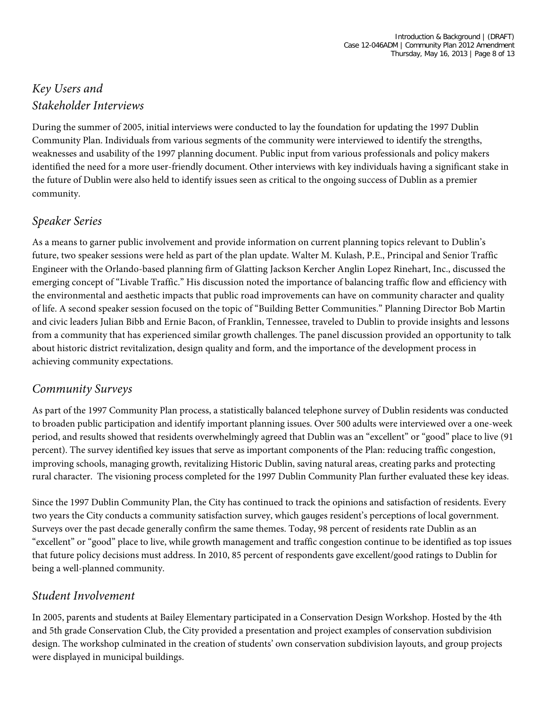# *Key Users and Stakeholder Interviews*

During the summer of 2005, initial interviews were conducted to lay the foundation for updating the 1997 Dublin Community Plan. Individuals from various segments of the community were interviewed to identify the strengths, weaknesses and usability of the 1997 planning document. Public input from various professionals and policy makers identified the need for a more user-friendly document. Other interviews with key individuals having a significant stake in the future of Dublin were also held to identify issues seen as critical to the ongoing success of Dublin as a premier community.

#### *Speaker Series*

As a means to garner public involvement and provide information on current planning topics relevant to Dublin's future, two speaker sessions were held as part of the plan update. Walter M. Kulash, P.E., Principal and Senior Traffic Engineer with the Orlando-based planning firm of Glatting Jackson Kercher Anglin Lopez Rinehart, Inc., discussed the emerging concept of "Livable Traffic." His discussion noted the importance of balancing traffic flow and efficiency with the environmental and aesthetic impacts that public road improvements can have on community character and quality of life. A second speaker session focused on the topic of "Building Better Communities." Planning Director Bob Martin and civic leaders Julian Bibb and Ernie Bacon, of Franklin, Tennessee, traveled to Dublin to provide insights and lessons from a community that has experienced similar growth challenges. The panel discussion provided an opportunity to talk about historic district revitalization, design quality and form, and the importance of the development process in achieving community expectations.

#### *Community Surveys*

As part of the 1997 Community Plan process, a statistically balanced telephone survey of Dublin residents was conducted to broaden public participation and identify important planning issues. Over 500 adults were interviewed over a one-week period, and results showed that residents overwhelmingly agreed that Dublin was an "excellent" or "good" place to live (91 percent). The survey identified key issues that serve as important components of the Plan: reducing traffic congestion, improving schools, managing growth, revitalizing Historic Dublin, saving natural areas, creating parks and protecting rural character. The visioning process completed for the 1997 Dublin Community Plan further evaluated these key ideas.

Since the 1997 Dublin Community Plan, the City has continued to track the opinions and satisfaction of residents. Every two years the City conducts [a community satisfaction survey,](http://dublinohiousa.gov/living/city-surveys/) which gauges resident's perceptions of local government. Surveys over the past decade generally confirm the same themes. Today, 98 percent of residents rate Dublin as an "excellent" or "good" place to live, while growth management and traffic congestion continue to be identified as top issues that future policy decisions must address. In 2010, 85 percent of respondents gave excellent/good ratings to Dublin for being a well-planned community.

### *Student Involvement*

In 2005, parents and students at Bailey Elementary participated in a Conservation Design Workshop. Hosted by the 4th and 5th grade Conservation Club, the City provided a presentation and project examples of conservation subdivision design. The workshop culminated in the creation of students' own conservation subdivision layouts, and group projects were displayed in municipal buildings.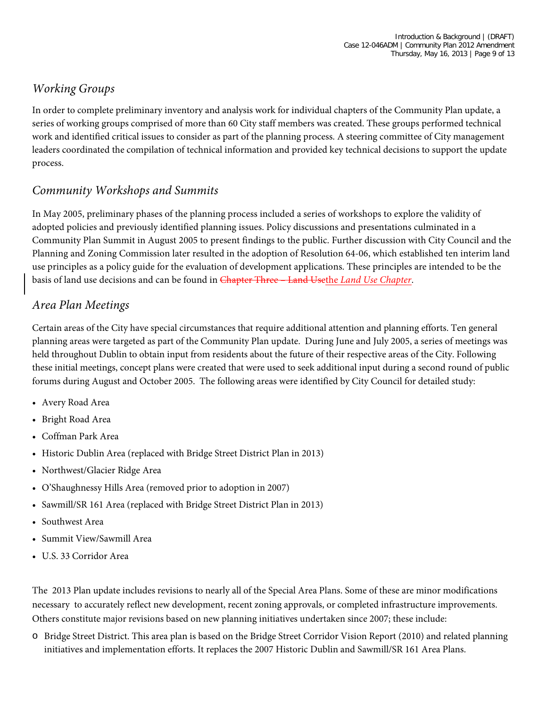# *Working Groups*

In order to complete preliminary inventory and analysis work for individual chapters of the Community Plan update, a series of working groups comprised of more than 60 City staff members was created. These groups performed technical work and identified critical issues to consider as part of the planning process. A steering committee of City management leaders coordinated the compilation of technical information and provided key technical decisions to support the update process.

### *Community Workshops and Summits*

In May 2005, preliminary phases of the planning process included a series of workshops to explore the validity of adopted policies and previously identified planning issues. Policy discussions and presentations culminated in a Community Plan Summit in August 2005 to present findings to the public. Further discussion with City Council and the Planning and Zoning Commission later resulted in the adoption of Resolution 64-06, which established ten interim land use principles as a policy guide for the evaluation of development applications. These principles are intended to be the basis of land use decisions and can be found in Chapter Three - Land Usethe *Land Use Chapter*.

### *Area Plan Meetings*

Certain areas of the City have special circumstances that require additional attention and planning efforts. Ten general planning areas were targeted as part of the Community Plan update. During June and July 2005, a series of meetings was held throughout Dublin to obtain input from residents about the future of their respective areas of the City. Following these initial meetings, concept plans were created that were used to seek additional input during a second round of public forums during August and October 2005. The following areas were identified by City Council for detailed study:

- Avery Road Area
- Bright Road Area
- Coffman Park Area
- Historic Dublin Area (replaced with Bridge Street District Plan in 2013)
- Northwest/Glacier Ridge Area
- O'Shaughnessy Hills Area (removed prior to adoption in 2007)
- Sawmill/SR 161 Area (replaced with Bridge Street District Plan in 2013)
- Southwest Area
- Summit View/Sawmill Area
- U.S. 33 Corridor Area

The 2013 Plan update includes revisions to nearly all of the Special Area Plans. Some of these are minor modifications necessary to accurately reflect new development, recent zoning approvals, or completed infrastructure improvements. Others constitute major revisions based on new planning initiatives undertaken since 2007; these include:

o Bridge Street District. This area plan is based on the Bridge Street Corridor Vision Report (2010) and related planning initiatives and implementation efforts. It replaces the 2007 Historic Dublin and Sawmill/SR 161 Area Plans.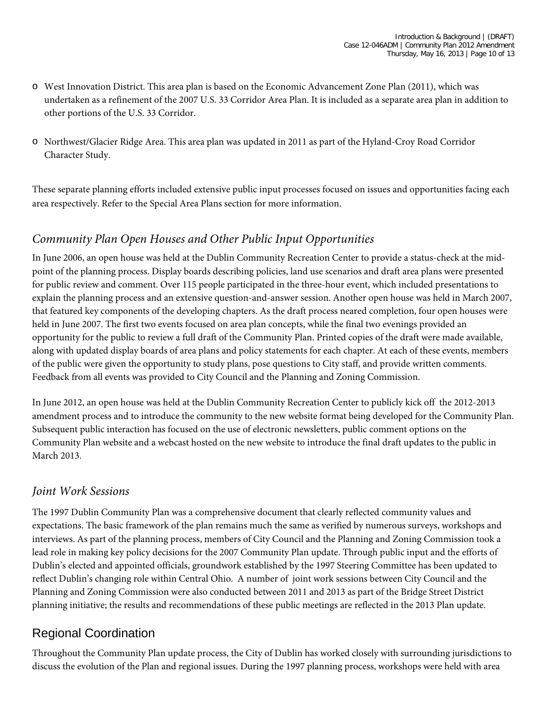- o West Innovation District. This area plan is based on the Economic Advancement Zone Plan (2011), which was undertaken as a refinement of the 2007 U.S. 33 Corridor Area Plan. It is included as a separate area plan in addition to other portions of the U.S. 33 Corridor.
- o Northwest/Glacier Ridge Area. This area plan was updated in 2011 as part of the Hyland-Croy Road Corridor Character Study.

These separate planning efforts included extensive public input processes focused on issues and opportunities facing each area respectively. Refer to the Special Area Plans section for more information.

### *Community Plan Open Houses and Other Public Input Opportunities*

In June 2006, an open house was held at the Dublin Community Recreation Center to provide a status-check at the midpoint of the planning process. Display boards describing policies, land use scenarios and draft area plans were presented for public review and comment. Over 115 people participated in the three-hour event, which included presentations to explain the planning process and an extensive question-and-answer session. Another open house was held in March 2007, that featured key components of the developing chapters. As the draft process neared completion, four open houses were held in June 2007. The first two events focused on area plan concepts, while the final two evenings provided an opportunity for the public to review a full draft of the Community Plan. Printed copies of the draft were made available, along with updated display boards of area plans and policy statements for each chapter. At each of these events, members of the public were given the opportunity to study plans, pose questions to City staff, and provide written comments. Feedback from all events was provided to City Council and the Planning and Zoning Commission.

In June 2012, an open house was held at the Dublin Community Recreation Center to publicly kick off the 2012-2013 amendment process and to introduce the community to the new website format being developed for the Community Plan. Subsequent public interaction has focused on the use of electronic newsletters, public comment options on the Community Plan website and a webcast hosted on the new website to introduce the final draft updates to the public in March 2013.

#### *Joint Work Sessions*

The 1997 Dublin Community Plan was a comprehensive document that clearly reflected community values and expectations. The basic framework of the plan remains much the same as verified by numerous surveys, workshops and interviews. As part of the planning process, members of City Council and the Planning and Zoning Commission took a lead role in making key policy decisions for the 2007 Community Plan update. Through public input and the efforts of Dublin's elected and appointed officials, groundwork established by the 1997 Steering Committee has been updated to reflect Dublin's changing role within Central Ohio. A number of joint work sessions between City Council and the Planning and Zoning Commission were also conducted between 2011 and 2013 as part of the Bridge Street District planning initiative; the results and recommendations of these public meetings are reflected in the 2013 Plan update.

# Regional Coordination

Throughout the Community Plan update process, the City of Dublin has worked closely with surrounding jurisdictions to discuss the evolution of the Plan and regional issues. During the 1997 planning process, workshops were held with area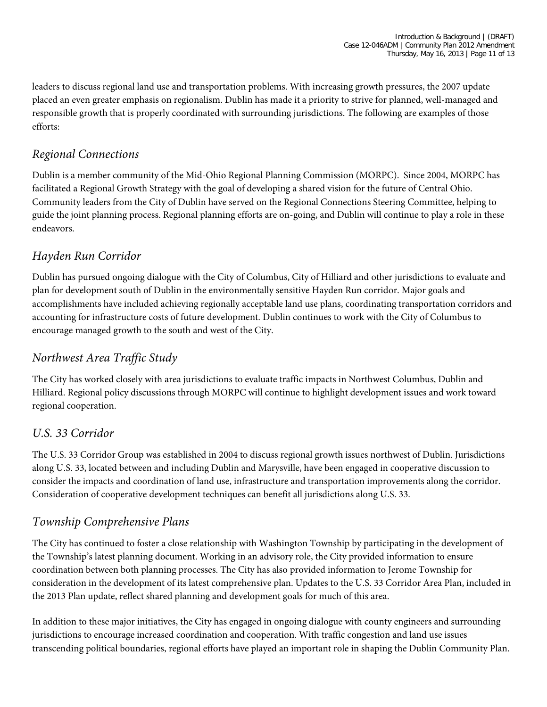leaders to discuss regional land use and transportation problems. With increasing growth pressures, the 2007 update placed an even greater emphasis on regionalism. Dublin has made it a priority to strive for planned, well-managed and responsible growth that is properly coordinated with surrounding jurisdictions. The following are examples of those efforts:

#### *Regional Connections*

Dublin is a member community of the Mid-Ohio Regional Planning Commission (MORPC). Since 2004, MORPC has facilitated a Regional Growth Strategy with the goal of developing a shared vision for the future of Central Ohio. Community leaders from the City of Dublin have served on the Regional Connections Steering Committee, helping to guide the joint planning process. Regional planning efforts are on-going, and Dublin will continue to play a role in these endeavors.

### *Hayden Run Corridor*

Dublin has pursued ongoing dialogue with the City of Columbus, City of Hilliard and other jurisdictions to evaluate and plan for development south of Dublin in the environmentally sensitive Hayden Run corridor. Major goals and accomplishments have included achieving regionally acceptable land use plans, coordinating transportation corridors and accounting for infrastructure costs of future development. Dublin continues to work with the City of Columbus to encourage managed growth to the south and west of the City.

### *Northwest Area Traffic Study*

The City has worked closely with area jurisdictions to evaluate traffic impacts in Northwest Columbus, Dublin and Hilliard. Regional policy discussions through MORPC will continue to highlight development issues and work toward regional cooperation.

#### *U.S. 33 Corridor*

The U.S. 33 Corridor Group was established in 2004 to discuss regional growth issues northwest of Dublin. Jurisdictions along U.S. 33, located between and including Dublin and Marysville, have been engaged in cooperative discussion to consider the impacts and coordination of land use, infrastructure and transportation improvements along the corridor. Consideration of cooperative development techniques can benefit all jurisdictions along U.S. 33.

### *Township Comprehensive Plans*

The City has continued to foster a close relationship with Washington Township by participating in the development of the Township's latest planning document. Working in an advisory role, the City provided information to ensure coordination between both planning processes. The City has also provided information to Jerome Township for consideration in the development of its latest comprehensive plan. Updates to the U.S. 33 Corridor Area Plan, included in the 2013 Plan update, reflect shared planning and development goals for much of this area.

In addition to these major initiatives, the City has engaged in ongoing dialogue with county engineers and surrounding jurisdictions to encourage increased coordination and cooperation. With traffic congestion and land use issues transcending political boundaries, regional efforts have played an important role in shaping the Dublin Community Plan.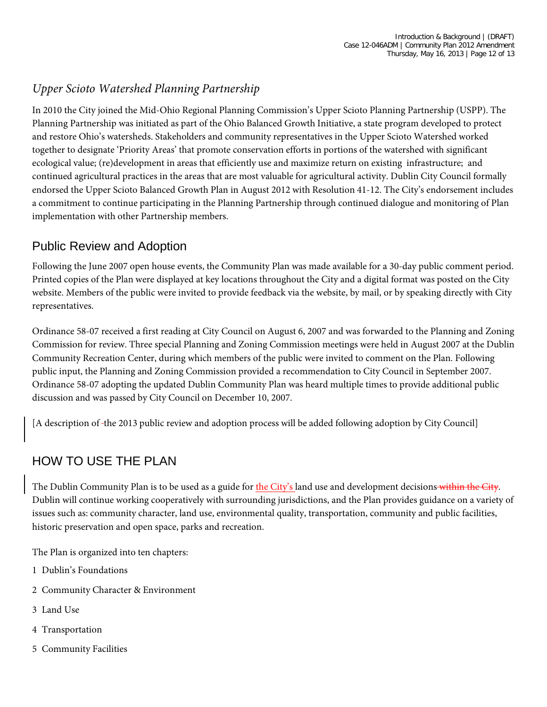## *Upper Scioto Watershed Planning Partnership*

In 2010 the City joined the Mid-Ohio Regional Planning Commission's Upper Scioto Planning Partnership (USPP). The Planning Partnership was initiated as part of the Ohio Balanced Growth Initiative, a state program developed to protect and restore Ohio's watersheds. Stakeholders and community representatives in the Upper Scioto Watershed worked together to designate 'Priority Areas' that promote conservation efforts in portions of the watershed with significant ecological value; (re)development in areas that efficiently use and maximize return on existing infrastructure; and continued agricultural practices in the areas that are most valuable for agricultural activity. Dublin City Council formally endorsed the Upper Scioto Balanced Growth Plan in August 2012 with Resolution 41-12. The City's endorsement includes a commitment to continue participating in the Planning Partnership through continued dialogue and monitoring of Plan implementation with other Partnership members.

## Public Review and Adoption

Following the June 2007 open house events, the Community Plan was made available for a 30-day public comment period. Printed copies of the Plan were displayed at key locations throughout the City and a digital format was posted on the City website. Members of the public were invited to provide feedback via the website, by mail, or by speaking directly with City representatives.

Ordinance 58-07 received a first reading at City Council on August 6, 2007 and was forwarded to the Planning and Zoning Commission for review. Three special Planning and Zoning Commission meetings were held in August 2007 at the Dublin Community Recreation Center, during which members of the public were invited to comment on the Plan. Following public input, the Planning and Zoning Commission provided a recommendation to City Council in September 2007. Ordinance 58-07 adopting the updated Dublin Community Plan was heard multiple times to provide additional public discussion and was passed by City Council on December 10, 2007.

[A description of the 2013 public review and adoption process will be added following adoption by City Council]

# HOW TO USE THE PLAN

The Dublin Community Plan is to be used as a guide for the City's land use and development decisions within the City. Dublin will continue working cooperatively with surrounding jurisdictions, and the Plan provides guidance on a variety of issues such as: community character, land use, environmental quality, transportation, community and public facilities, historic preservation and open space, parks and recreation.

The Plan is organized into ten chapters:

- 1 Dublin's Foundations
- 2 Community Character & Environment
- 3 Land Use
- 4 Transportation
- 5 Community Facilities